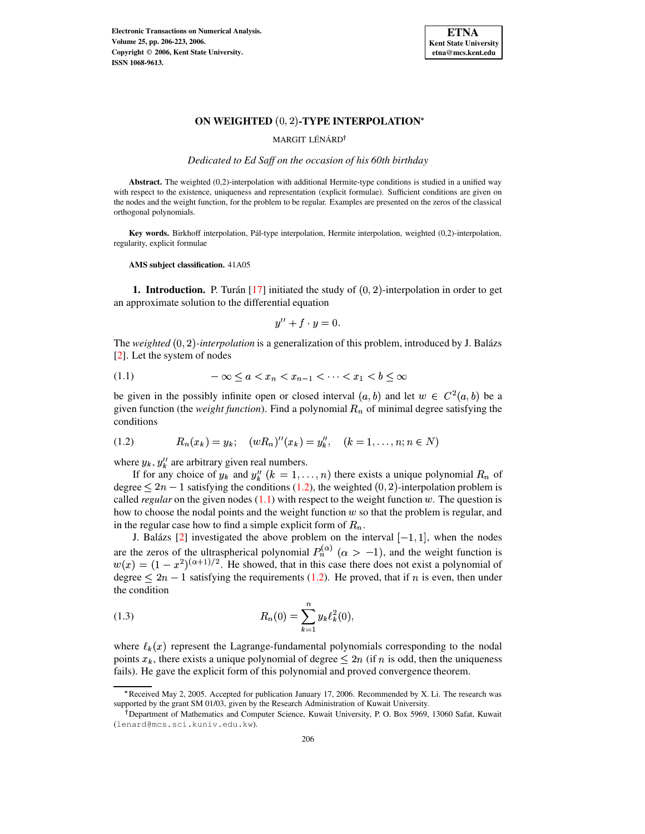

## ON WEIGHTED  $(0, 2)$ -TYPE INTERPOLATION\*

MARGIT LÉNÁRD<sup>†</sup>

*Dedicated to Ed Saff on the occasion of his 60th birthday*

**Abstract.** The weighted (0,2)-interpolation with additional Hermite-type conditions is studied in a unified way with respect to the existence, uniqueness and representation (explicit formulae). Sufficient conditions are given on the nodes and the weight function, for the problem to be regular. Examples are presented on the zeros of the classical orthogonal polynomials.

**Key** words. Birkhoff interpolation, Pál-type interpolation, Hermite interpolation, weighted (0,2)-interpolation, regularity, explicit formulae

**AMS subject classification.** 41A05

**1. Introduction.** P. Turán  $\left[17\right]$  initiated the study of  $(0, 2)$ -interpolation in order to get an approximate solution to the differential equation

$$
y'' + f \cdot y = 0.
$$

The *weighted* (0, 2)-interpolation is a generalization of this problem, introduced by J. Balázs [\[2\]](#page-16-0). Let the system of nodes

<span id="page-0-1"></span>
$$
(1.1) \qquad \qquad -\infty \le a < x_n < x_{n-1} < \dots < x_1 < b \le \infty
$$

be given in the possibly infinite open or closed interval  $(a, b)$  and let  $w \in C^2(a, b)$  be a given function (the *weight function*). Find a polynomial  $R_n$  of minimal degree satisfying the conditions

<span id="page-0-0"></span>
$$
(1.2) \t R_n(x_k) = y_k; \t (wR_n)''(x_k) = y_k'', \t (k = 1, \ldots, n; n \in N)
$$

where  $y_k$ ,  $y_k''$  are arbitrary given real numbers.

If for any choice of  $y_k$  and  $y''_k$   $(k = 1, ..., n)$  there exists a unique polynomial  $R_n$  of degree  $\leq 2n-1$  satisfying the conditions [\(1.2\)](#page-0-0), the weighted  $(0, 2)$ -interpolation problem is called *regular* on the given nodes  $(1.1)$  with respect to the weight function w. The question is how to choose the nodal points and the weight function  $w$  so that the problem is regular, and in the regular case how to find a simple explicit form of  $R_n$ .

J. Balázs [\[2\]](#page-16-0) investigated the above problem on the interval  $[-1, 1]$ , when the nodes are the zeros of the ultraspherical polynomial  $P_n^{(\alpha)}$  ( $\alpha > -1$ ), and the weight function is  $w(x) = (1 - x^2)^{(\alpha + 1)/2}$ . He showed, that in this case there does not exist a polynomial of degree  $\leq 2n - 1$  satisfying the requirements [\(1.2\)](#page-0-0). He proved, that if n is even, then under the condition

<span id="page-0-2"></span>(1.3) 
$$
R_n(0) = \sum_{k=1}^n y_k \ell_k^2(0),
$$

where  $\ell_k(x)$  represent the Lagrange-fundamental polynomials corresponding to the nodal points  $x_k$ , there exists a unique polynomial of degree  $\leq 2n$  (if n is odd, then the uniqueness fails). He gave the explicit form of this polynomial and proved convergence theorem.

<sup>b</sup> Received May 2, 2005. Accepted for publication January 17, 2006. Recommended by X. Li. The research was supported by the grant SM 01/03, given by the Research Administration of Kuwait University.

<sup>&</sup>lt;sup>†</sup> Department of Mathematics and Computer Science, Kuwait University, P. O. Box 5969, 13060 Safat, Kuwait (lenard@mcs.sci.kuniv.edu.kw).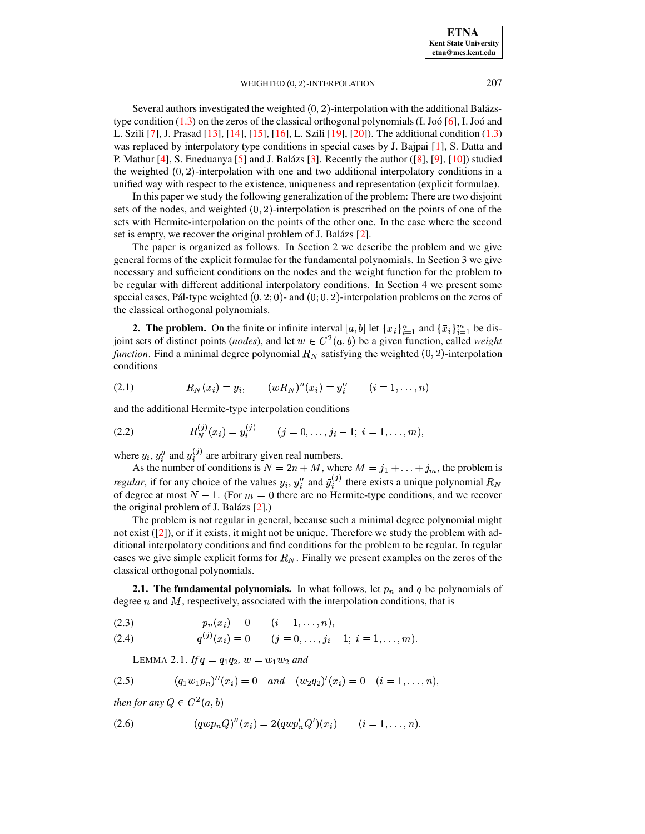**ETNA Kent State University etna@mcs.kent.edu**

### WEIGHTED  $(0, 2)$ -INTERPOLATION  $207$

Several authors investigated the weighted  $(0, 2)$ -interpolation with the additional Balázstype condition  $(1.3)$  on the zeros of the classical orthogonal polynomials  $(I. Joo [6], I. Joo'$  $(I. Joo [6], I. Joo'$  $(I. Joo [6], I. Joo'$  and L. Szili [\[7\]](#page-16-2), J. Prasad [\[13\]](#page-16-3), [\[14\]](#page-16-4), [\[15\]](#page-16-5), [\[16\]](#page-17-1), L. Szili [\[19\]](#page-17-2), [\[20\]](#page-17-3)). The additional condition [\(1.3\)](#page-0-2) was replaced by interpolatory type conditions in special cases by J. Bajpai [\[1\]](#page-16-6), S. Datta and P. Mathur  $[4]$ , S. Eneduanya  $[5]$  and J. Balázs  $[3]$ . Recently the author  $([8]$  $([8]$ ,  $[9]$ ,  $[10]$ ) studied the weighted  $(0, 2)$ -interpolation with one and two additional interpolatory conditions in a unified way with respect to the existence, uniqueness and representation (explicit formulae).

In this paper we study the following generalization of the problem: There are two disjoint sets of the nodes, and weighted  $(0, 2)$ -interpolation is prescribed on the points of one of the sets with Hermite-interpolation on the points of the other one. In the case where the second set is empty, we recover the original problem of J. Balázs [\[2\]](#page-16-0).

The paper is organized as follows. In Section 2 we describe the problem and we give general forms of the explicit formulae for the fundamental polynomials. In Section 3 we give necessary and sufficient conditions on the nodes and the weight function for the problem to be regular with different additional interpolatory conditions. In Section 4 we present some special cases, Pál-type weighted  $(0, 2, 0)$ - and  $(0, 0, 2)$ -interpolation problems on the zeros of the classical orthogonal polynomials.

**2. The problem.** On the finite or infinite interval  $[a, b]$  let  $\{x_i\}_{i=1}^n$  and  $\{\bar{x}_i\}_{i=1}^m$  be disjoint sets of distinct points (*nodes*), and let  $w \in C^2(a, b)$  be a given function, called *weight function*. Find a minimal degree polynomial  $R_N$  satisfying the weighted  $(0, 2)$ -interpolation conditions

<span id="page-1-2"></span>(2.1) 
$$
R_N(x_i) = y_i, \qquad (wR_N)''(x_i) = y_i'' \qquad (i = 1, ..., n)
$$

and the additional Hermite-type interpolation conditions

<span id="page-1-3"></span>(2.2) 
$$
R_N^{(j)}(\bar{x}_i) = \bar{y}_i^{(j)} \qquad (j = 0, \ldots, j_i - 1; i = 1, \ldots, m),
$$

where  $y_i$ ,  $y_i''$  and  $\bar{y}_i^{(j)}$  are arbitrary given real numbers.

As the number of conditions is  $N = 2n + M$ , where  $M = j_1 + \ldots + j_m$ , the problem is *regular*, if for any choice of the values  $y_i$ ,  $y_i''$  and  $\bar{y}_i^{(3)}$  there exists a unique polynomial  $R_N$ of degree at most  $N-1$ . (For  $m=0$  there are no Hermite-type conditions, and we recover the original problem of J. Balázs  $[2]$ .)

The problem is not regular in general, because such a minimal degree polynomial might not exist ([\[2\]](#page-16-0)), or if it exists, it might not be unique. Therefore we study the problem with additional interpolatory conditions and find conditions for the problem to be regular. In regular cases we give simple explicit forms for  $R_N$ . Finally we present examples on the zeros of the classical orthogonal polynomials.

**2.1. The fundamental polynomials.** In what follows, let  $p_n$  and  $q$  be polynomials of degree  $n$  and  $M$ , respectively, associated with the interpolation conditions, that is

<span id="page-1-4"></span>
$$
(2.3) \t\t\t p_n(x_i) = 0 \t\t (i = 1, ..., n),
$$

<span id="page-1-5"></span>(2.4) 
$$
q^{(j)}(\bar{x}_i) = 0 \qquad (j = 0, \ldots, j_i - 1; i = 1, \ldots, m).
$$

LEMMA 2.1. *If*  $q = q_1 q_2$ ,  $w = w_1 w_2$  and

<span id="page-1-0"></span>
$$
(2.5) \qquad (q_1w_1p_n)''(x_i) = 0 \quad and \quad (w_2q_2)'(x_i) = 0 \quad (i = 1, \ldots, n),
$$

*then for any*  $Q \in C^2(a, b)$ 

<span id="page-1-1"></span>(2.6) 
$$
(qwp_n Q)''(x_i) = 2(qwp'_n Q')(x_i) \qquad (i = 1, ..., n).
$$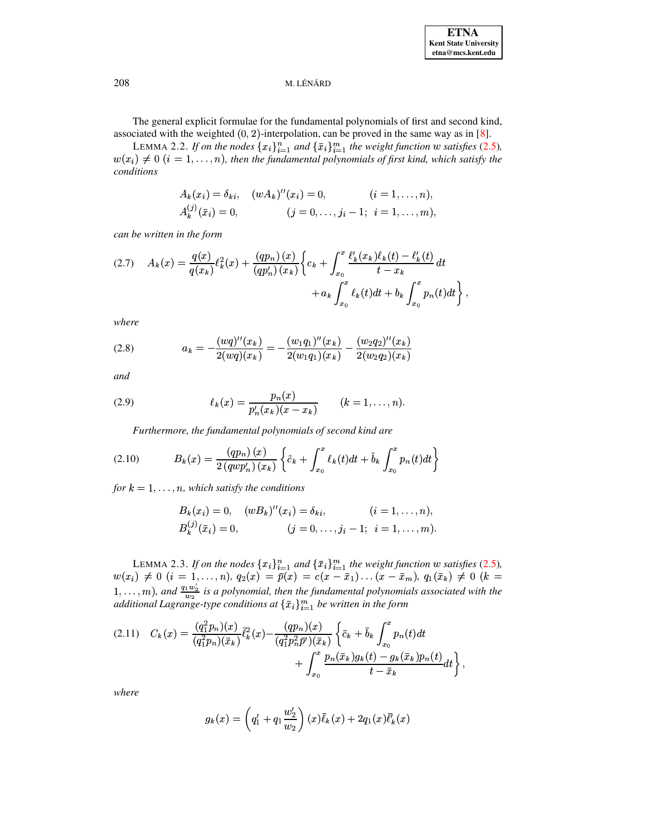The general explicit formulae for the fundamental polynomials of first and second kind, associated with the weighted  $(0, 2)$ -interpolation, can be proved in the same way as in [8].

<span id="page-2-3"></span>LEMMA 2.2. If on the nodes  ${x_i}_{i=1}^n$  and  ${\bar{x}_i}_{i=1}^m$  the weight function w satisfies (2.5),  $w(x_i) \neq 0$   $(i = 1, ..., n)$ , then the fundamental polynomials of first kind, which satisfy the conditions

$$
A_k(x_i) = \delta_{ki}, \quad (wA_k)''(x_i) = 0, \quad (i = 1, ..., n),
$$
  

$$
A_k^{(j)}(\bar{x}_i) = 0, \quad (j = 0, ..., j_i - 1; i = 1, ..., m),
$$

can be written in the form

<span id="page-2-1"></span>
$$
(2.7) \quad A_k(x) = \frac{q(x)}{q(x_k)} \ell_k^2(x) + \frac{(qp_n)(x)}{(qp_n')(x_k)} \left\{ c_k + \int_{x_0}^x \frac{\ell_k'(x_k)\ell_k(t) - \ell_k'(t)}{t - x_k} dt + a_k \int_{x_0}^x \ell_k(t) dt + b_k \int_{x_0}^x p_n(t) dt \right\}
$$

where

(2.8) 
$$
a_k = -\frac{(wq)''(x_k)}{2(wq)(x_k)} = -\frac{(w_1q_1)''(x_k)}{2(w_1q_1)(x_k)} - \frac{(w_2q_2)''(x_k)}{2(w_2q_2)(x_k)}
$$

and

(2.9) 
$$
\ell_k(x) = \frac{p_n(x)}{p'_n(x_k)(x - x_k)} \qquad (k = 1, ..., n).
$$

Furthermore, the fundamental polynomials of second kind are

<span id="page-2-2"></span>(2.10) 
$$
B_k(x) = \frac{(qp_n)(x)}{2(qwp'_n)(x_k)} \left\{ \tilde{c}_k + \int_{x_0}^x \ell_k(t)dt + \tilde{b}_k \int_{x_0}^x p_n(t)dt \right\}
$$

for  $k = 1, \ldots, n$ , which satisfy the conditions

$$
B_k(x_i) = 0, \quad (wB_k)''(x_i) = \delta_{ki}, \qquad (i = 1, ..., n),
$$
  
\n
$$
B_k^{(j)}(\bar{x}_i) = 0, \qquad (j = 0, ..., j_i - 1; i = 1, ..., m).
$$

<span id="page-2-4"></span>LEMMA 2.3. If on the nodes  $\{x_i\}_{i=1}^n$  and  $\{\bar{x}_i\}_{i=1}^m$  the weight function w satisfies (2.5),<br> $w(x_i) \neq 0$   $(i = 1,...,n)$ ,  $q_2(x) = \bar{p}(x) = c(x - \bar{x}_1)...(x - \bar{x}_m)$ ,  $q_1(\bar{x}_k) \neq 0$   $(k =$  $1, \ldots, m$ ), and  $\frac{q_1 w_2'}{w_2}$  is a polynomial, then the fundamental polynomials associated with the additional Lagrange-type conditions at  $\{\bar{x}_i\}_{i=1}^m$  be written in the form

<span id="page-2-0"></span>
$$
(2.11) \quad C_k(x) = \frac{(q_1^2 p_n)(x)}{(q_1^2 p_n)(\bar{x}_k)} \bar{\ell}_k^2(x) - \frac{(qp_n)(x)}{(q_1^2 p_n^2 \bar{p}^t)(\bar{x}_k)} \left\{ \bar{c}_k + \bar{b}_k \int_{x_0}^x p_n(t) dt + \int_{x_0}^x \frac{p_n(\bar{x}_k)g_k(t) - g_k(\bar{x}_k)p_n(t)}{t - \bar{x}_k} dt \right\},
$$

where

$$
g_k(x) = \left(q_1' + q_1 \frac{w_2'}{w_2}\right)(x)\bar{\ell}_k(x) + 2q_1(x)\bar{\ell}'_k(x)
$$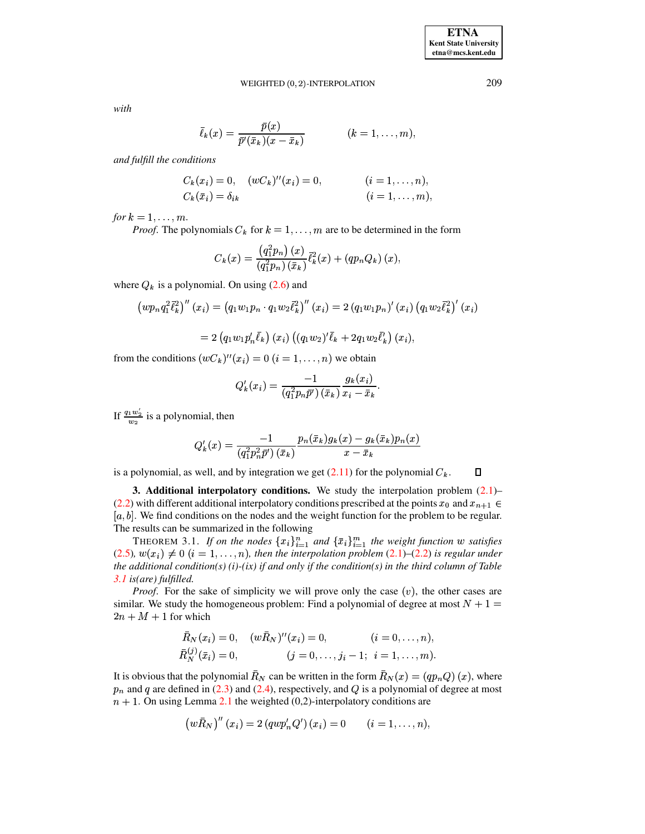### WEIGHTED  $(0, 2)$ -INTERPOLATION  $209$

*with*

$$
\bar{\ell}_k(x) = \frac{\bar{p}(x)}{\bar{p}'(\bar{x}_k)(x - \bar{x}_k)} \qquad (k = 1, \ldots, m),
$$

*and fulfill the conditions*

$$
C_k(x_i) = 0, \quad (wC_k)''(x_i) = 0, \qquad (i = 1, \ldots, n),
$$
  
\n
$$
C_k(\bar{x}_i) = \delta_{ik} \qquad (i = 1, \ldots, m),
$$

*for*  $k = 1, \ldots, m$ *.* 

*Proof.* The polynomials  $C_k$  for  $k = 1, ..., m$  are to be determined in the form

$$
C_k(x)=\frac{\left(q_1^2p_n\right)(x)}{(q_1^2p_n)(\bar{x}_k)}\bar{\ell}_k^2(x)+(qp_nQ_k)(x),
$$

where  $Q_k$  is a polynomial. On using [\(2.6\)](#page-1-1) and

$$
\left(wp_nq_1^2\bar{\ell}_k^2\right)''\left(x_i\right)=\left(q_1w_1p_n\cdot q_1w_2\bar{\ell}_k^2\right)''\left(x_i\right)=2\left(q_1w_1p_n\right)'\left(x_i\right)\left(q_1w_2\bar{\ell}_k^2\right)'\left(x_i\right)
$$

$$
= 2 (q_1 w_1 p'_n \bar{\ell}_k) (x_i) ((q_1 w_2)'\bar{\ell}_k + 2 q_1 w_2 \bar{\ell}'_k) (x_i),
$$

from the conditions  $(wC_k)''(x_i) = 0$   $(i = 1, \ldots, n)$  we obtain

$$
Q'_k(x_i) = \frac{-1}{(q_1^2 p_n \bar{p}')(\bar{x}_k)} \frac{g_k(x_i)}{x_i - \bar{x}_k}.
$$

If  $\frac{q_1w_2}{w_2}$  is a polynomial, then

$$
Q_k'(x)=\frac{-1}{\left(q_1^2p_n^2\bar{p}'\right)(\bar{x}_k)}\frac{p_n(\bar{x}_k)g_k(x)-g_k(\bar{x}_k)p_n(x)}{x-\bar{x}_k}
$$

is a polynomial, as well, and by integration we get  $(2.11)$  for the polynomial  $C_k$ .

**3. Additional interpolatory conditions.** We study the interpolation problem [\(2.1\)](#page-1-2)– [\(2.2\)](#page-1-3) with different additional interpolatory conditions prescribed at the points  $x_0$  and  $x_{n+1} \in$  $[a, b]$ . We find conditions on the nodes and the weight function for the problem to be regular. The results can be summarized in the following

<span id="page-3-0"></span>THEOREM 3.1. If on the nodes  $\{x_i\}_{i=1}^n$  and  $\{\bar{x}_i\}_{i=1}^m$  the weight function w satisfies  $(2.5)$ ,  $w(x_i) \neq 0$  ( $i = 1, ..., n$ ), then the interpolation problem [\(2.1\)](#page-1-2)–[\(2.2\)](#page-1-3) is regular under *the additional condition(s) (i)-(ix) if and only if the condition(s) in the third column of Table [3.1](#page-4-0) is(are) fulfilled.*

*Proof.* For the sake of simplicity we will prove only the case  $(v)$ , the other cases are similar. We study the homogeneous problem: Find a polynomial of degree at most  $N + 1 =$  $2n + M + 1$  for which

$$
\bar{R}_N(x_i) = 0, \quad (w\bar{R}_N)''(x_i) = 0, \quad (i = 0, \ldots, n),
$$
  
\n
$$
\bar{R}_N^{(j)}(\bar{x}_i) = 0, \quad (j = 0, \ldots, j_i - 1; i = 1, \ldots, m).
$$

It is obvious that the polynomial  $R_N$  can be written in the form  $R_N(x) = (qp_nQ)(x)$ , where  $p_n$  and q are defined in [\(2.3\)](#page-1-4) and [\(2.4\)](#page-1-4), respectively, and Q is a polynomial of degree at most  $m + 1$ . On using Lemma [2.1](#page-1-5) the weighted (0,2)-interpolatory conditions are

$$
\left(w\bar{R}_N\right)^{\prime\prime}(x_i)=2\left(qwp_n'Q'\right)(x_i)=0\qquad (i=1,\ldots,n),
$$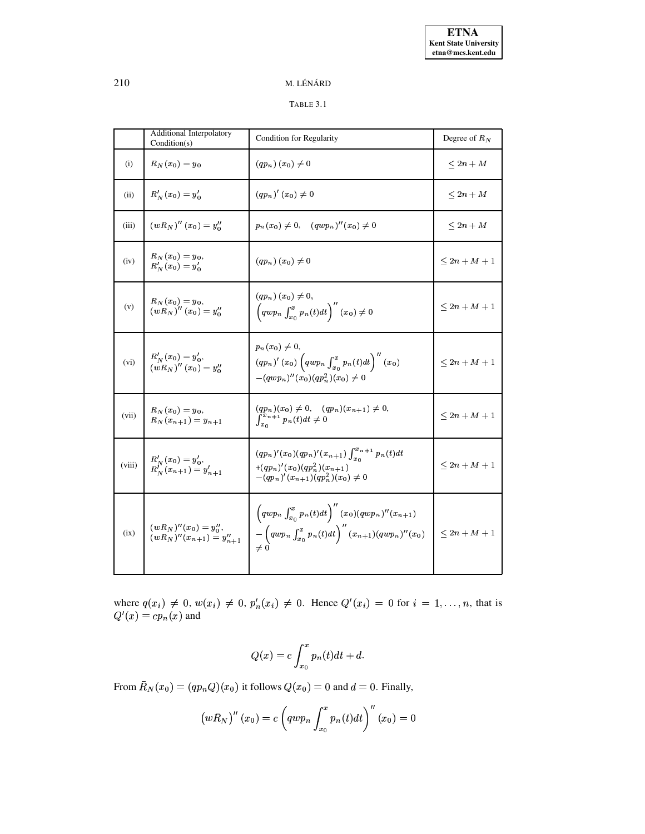# <span id="page-4-0"></span>TABLE 3.1

|        | Additional Interpolatory<br>Condition(s)                    | <b>Condition for Regularity</b>                                                                                                                                  | Degree of $R_N$   |  |
|--------|-------------------------------------------------------------|------------------------------------------------------------------------------------------------------------------------------------------------------------------|-------------------|--|
| (i)    | $R_N(x_0) = y_0$                                            | $(qp_n)(x_0)\neq 0$                                                                                                                                              | $\leq 2n + M$     |  |
| (ii)   | $R'_{N}(x_0) = y'_0$                                        | $(q p_n)'(x_0) \neq 0$                                                                                                                                           | $\leq 2n + M$     |  |
| (iii)  | $(w R_N)''(x_0) = y''_0$                                    | $p_n(x_0) \neq 0$ , $(qwp_n)''(x_0) \neq 0$                                                                                                                      | $\leq 2n + M$     |  |
| (iv)   | $R_N(x_0) = y_0,$<br>$R'_{N}(x_0) = y'_0$                   | $(qp_n)(x_0)\neq 0$                                                                                                                                              | $\leq 2n + M + 1$ |  |
| (v)    | $R_N(x_0) = y_0,$<br>$(w R_N)^{'}(x_0) = y''_0$             | $(qp_n)(x_0)\neq 0,$<br>$\left(qwp_n\int_{x_0}^x p_n(t)dt\right)''(x_0)\neq 0$                                                                                   | $\leq 2n + M + 1$ |  |
| (vi)   | $R'_{N}(x_0) = y'_0,$<br>$(wR_N)''(x_0) = y''_0$            | $p_n(x_0)\neq 0,$<br>$(q p_n)'(x_0) \left(q w p_n \int_{x_0}^x p_n(t) dt\right)''(x_0)$<br>$-(qwp_n)''(x_0)(qp_n^2)(x_0)\neq 0$                                  | $\leq 2n + M + 1$ |  |
| (vii)  | $R_N(x_0) = y_0,$<br>$R_N(x_{n+1}) = y_{n+1}$               | $(qp_n)(x_0) \neq 0, \quad (qp_n)(x_{n+1}) \neq 0,$<br>$\int_{x_0}^{x_n+1} p_n(t) dt \neq 0$                                                                     | $\leq 2n + M + 1$ |  |
| (viii) | $R'_{N}(x_0) = y'_0,$<br>$R''_{N}(x_{n+1}) = y'_{n+1}$      | $(qp_n)'(x_0)(qp_n)'(x_{n+1})\int_{x_0}^{x_{n+1}}p_n(t)dt$<br>$+(qp_n)'(x_0)(qp_n^2)(x_{n+1})$<br>$-(qp_n)'(x_{n+1})(qp_n^2)(x_0)\neq 0$                         | $\leq 2n + M + 1$ |  |
| (ix)   | $(wR_N)''(x_0) = y''_0,$<br>$(wR_N)''(x_{n+1}) = y''_{n+1}$ | $\left(qwp_{n}\int_{x_{0}}^{x}p_{n}(t)dt\right)''(x_{0})(qwp_{n})''(x_{n+1})$<br>$-\left(qwp_n\int_{x_0}^x p_n(t)dt\right)''(x_{n+1})(qwp_n)''(x_0)$<br>$\neq 0$ | $\leq 2n + M + 1$ |  |

where  $q(x_i) \neq 0$ ,  $w(x_i) \neq 0$ ,  $p'_n(x_i) \neq 0$ . Hence  $Q'(x_i) = 0$  for  $i = 1, \ldots, n$ , that is  $Q'(x) = cp_n(x)$  and

$$
Q(x) = c \int_{x_0}^{x} p_n(t)dt + d.
$$

From  $R_N(x_0) = (qp_n Q)(x_0)$  it follows  $Q(x_0) = 0$  and  $d = 0$ . Finally,

$$
\left(w\bar{R}_N\right)''\left(x_0\right)=c\left(qwp_n\int_{x_0}^x p_n(t)dt\right)''\left(x_0\right)=0
$$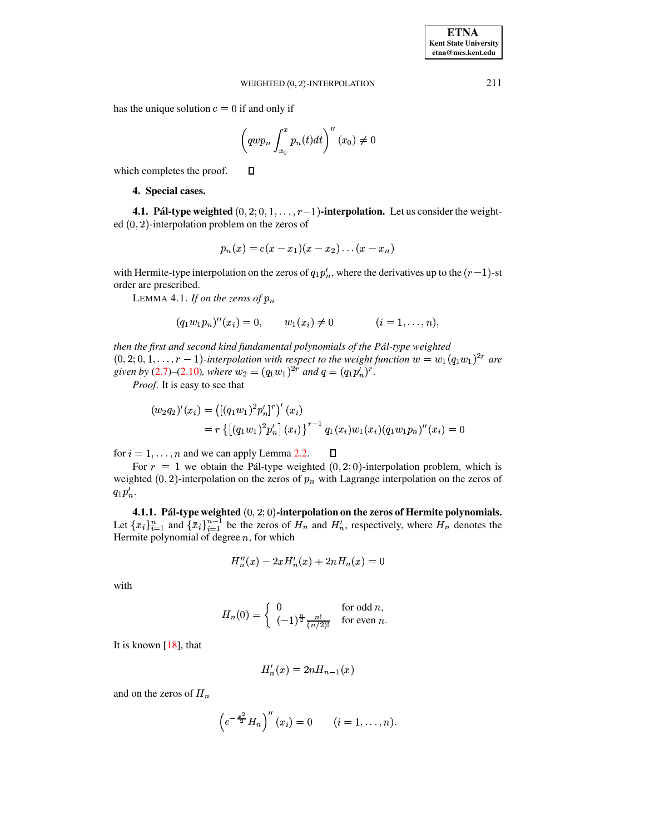has the unique solution  $c = 0$  if and only if

□

$$
\left(qwp_n\int_{x_0}^x p_n(t)dt\right)''(x_0)\neq 0
$$

which completes the proof.

## 4. Special cases.

4.1. Pál-type weighted  $(0, 2, 0, 1, \ldots, r-1)$ -interpolation. Let us consider the weighted  $(0, 2)$ -interpolation problem on the zeros of

$$
p_n(x) = c(x - x_1)(x - x_2) \dots (x - x_n)
$$

<span id="page-5-0"></span>with Hermite-type interpolation on the zeros of  $q_1p'_n$ , where the derivatives up to the  $(r-1)$ -st order are prescribed.

LEMMA 4.1. If on the zeros of  $p_n$ 

$$
(q_1w_1p_n)''(x_i) = 0, \qquad w_1(x_i) \neq 0 \qquad (i = 1, \ldots, n)
$$

then the first and second kind fundamental polynomials of the Pál-type weighted  $(0,2,0,1,\ldots,r-1)$ -interpolation with respect to the weight function  $w=w_1(q_1w_1)^{2r}$  are given by (2.7)–(2.10), where  $w_2 = (q_1w_1)^{2r}$  and  $q = (q_1p_n^r)^r$ .

*Proof.* It is easy to see that

$$
(w_2 q_2)'(x_i) = ([(q_1 w_1)^2 p'_n]^r)'(x_i)
$$
  
=  $r \{ [(q_1 w_1)^2 p'_n] (x_i) \}^{r-1} q_1(x_i) w_1(x_i) (q_1 w_1 p_n)''(x_i) = 0$ 

for  $i = 1, ..., n$  and we can apply Lemma 2.2.  $\Box$ 

For  $r = 1$  we obtain the Pál-type weighted  $(0, 2, 0)$ -interpolation problem, which is weighted  $(0, 2)$ -interpolation on the zeros of  $p_n$  with Lagrange interpolation on the zeros of  $q_1p'_n.$ 

4.1.1. Pál-type weighted  $(0, 2, 0)$ -interpolation on the zeros of Hermite polynomials. Let  $\{x_i\}_{i=1}^n$  and  $\{\bar{x}_i\}_{i=1}^{n-1}$  be the zeros of  $H_n$  and  $H'_n$ , respectively, where  $H_n$  denotes the Hermite polynomial of degree  $n$ , for which

$$
H_n''(x) - 2xH_n'(x) + 2nH_n(x) = 0
$$

with

$$
H_n(0) = \begin{cases} 0 & \text{for odd } n, \\ (-1)^{\frac{n}{2}} \frac{n!}{(n/2)!} & \text{for even } n. \end{cases}
$$

It is known  $[18]$ , that

$$
H'_n(x) = 2nH_{n-1}(x)
$$

and on the zeros of  $H_n$ 

$$
\left(e^{-\frac{x^2}{2}}H_n\right)^{''}(x_i) = 0 \qquad (i = 1, \ldots, n).
$$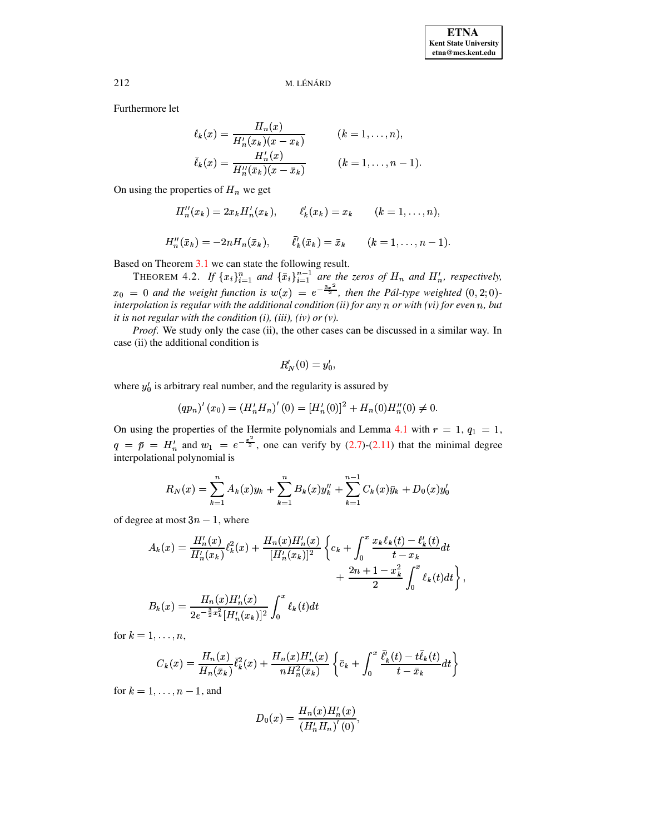Furthermore let

$$
\ell_k(x) = \frac{H_n(x)}{H'_n(x_k)(x - x_k)} \qquad (k = 1, ..., n),
$$
  

$$
\bar{\ell}_k(x) = \frac{H'_n(x)}{H''_n(\bar{x}_k)(x - \bar{x}_k)} \qquad (k = 1, ..., n - 1)
$$

On using the properties of  $H_n$  we get

$$
H''_n(x_k) = 2x_k H'_n(x_k), \qquad \ell'_k(x_k) = x_k \qquad (k = 1, ..., n),
$$
  

$$
H''_n(\bar{x}_k) = -2n H_n(\bar{x}_k), \qquad \bar{\ell}'_k(\bar{x}_k) = \bar{x}_k \qquad (k = 1, ..., n - 1).
$$

Based on Theorem 3.1 we can state the following result.<br>THEOREM 4.2. If  $\{x_i\}_{i=1}^n$  and  $\{\bar{x}_i\}_{i=1}^{n-1}$  are the zeros of  $H_n$  and  $H'_n$ , respectively,  $x_0 = 0$  and the weight function is  $w(x) = e^{-\frac{3x^2}{2}}$ , then the Pál-type weighted  $(0,2;0)$ interpolation is regular with the additional condition (ii) for any  $n$  or with (vi) for even  $n$ , but it is not regular with the condition  $(i)$ ,  $(iii)$ ,  $(iv)$  or  $(v)$ .

*Proof.* We study only the case (ii), the other cases can be discussed in a similar way. In case (ii) the additional condition is

$$
R'_N(0) = y'_0,
$$

where  $y'_0$  is arbitrary real number, and the regularity is assured by

$$
(qp_n)'(x_0) = (H'_nH_n)'(0) = [H'_n(0)]^2 + H_n(0)H''_n(0) \neq 0
$$

On using the properties of the Hermite polynomials and Lemma 4.1 with  $r = 1$ ,  $q_1 = 1$ ,  $q = \bar{p} = H'_n$  and  $w_1 = e^{-\frac{x^2}{2}}$ , one can verify by (2.7)-(2.11) that the minimal degree interpolational polynomial is

$$
R_N(x) = \sum_{k=1}^n A_k(x)y_k + \sum_{k=1}^n B_k(x)y_k'' + \sum_{k=1}^{n-1} C_k(x)\bar{y}_k + D_0(x)y_0'
$$

of degree at most  $3n - 1$ , where

$$
A_k(x) = \frac{H'_n(x)}{H'_n(x_k)} \ell_k^2(x) + \frac{H_n(x)H'_n(x)}{[H'_n(x_k)]^2} \left\{ c_k + \int_0^x \frac{x_k \ell_k(t) - \ell'_k(t)}{t - x_k} dt + \frac{2n + 1 - x_k^2}{2} \int_0^x \ell_k(t) dt \right\},
$$
  

$$
B_k(x) = \frac{H_n(x)H'_n(x)}{2e^{-\frac{3}{2}x_k^2}[H'_n(x_k)]^2} \int_0^x \ell_k(t) dt
$$

for  $k = 1, \ldots, n$ ,

$$
C_k(x)=\frac{H_n(x)}{H_n(\bar{x}_k)}\bar{\ell}_k^2(x)+\frac{H_n(x)H_n'(x)}{nH_n^2(\bar{x}_k)}\left\{\bar{c}_k+\int_0^x\frac{\bar{\ell}_k'(t)-t\bar{\ell}_k(t)}{t-\bar{x}_k}dt\right\}
$$

for  $k = 1, ..., n - 1$ , and

$$
D_0(x) = \frac{H_n(x)H'_n(x)}{(H'_nH_n)'(0)},
$$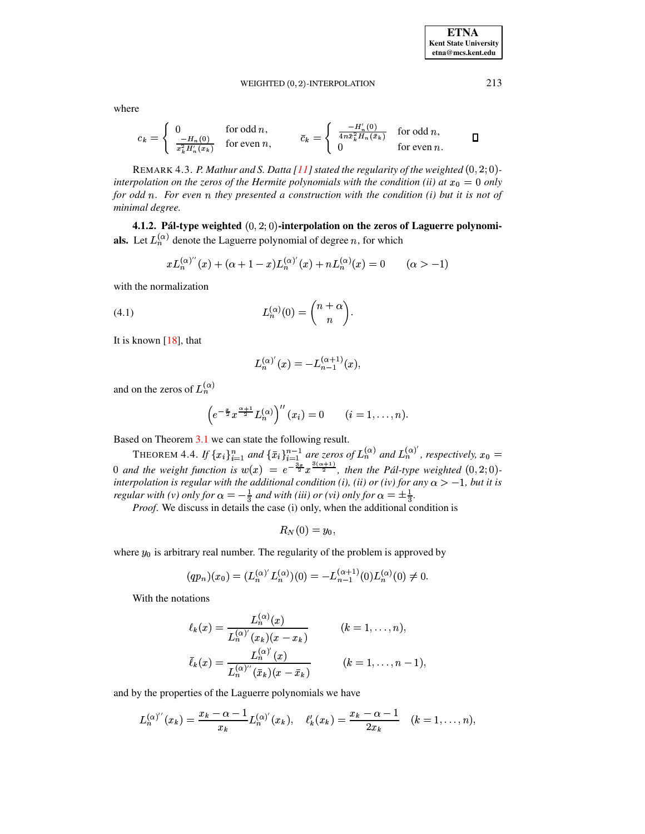WEIGHTED 
$$
(0, 2)
$$
-INTERPOLATION

where

$$
c_k = \begin{cases} 0 & \text{for odd } n, \\ \frac{-H_n(0)}{x_k^2 H_n(x_k)} & \text{for even } n, \end{cases} \qquad \bar{c}_k = \begin{cases} \frac{-H_n'(0)}{4n\bar{x}_k^2 H_n(\bar{x}_k)} & \text{for odd } n, \\ 0 & \text{for even } n. \end{cases} \qquad \Box
$$

REMARK 4.3. P. Mathur and S. Datta [11] stated the regularity of the weighted  $(0, 2, 0)$ interpolation on the zeros of the Hermite polynomials with the condition (ii) at  $x_0 = 0$  only for odd n. For even n they presented a construction with the condition (i) but it is not of minimal degree.

4.1.2. Pál-type weighted  $(0, 2, 0)$ -interpolation on the zeros of Laguerre polynomials. Let  $L_n^{(\alpha)}$  denote the Laguerre polynomial of degree n, for which

<span id="page-7-0"></span>
$$
xL_n^{(\alpha)''}(x) + (\alpha + 1 - x)L_n^{(\alpha)'}(x) + nL_n^{(\alpha)}(x) = 0 \qquad (\alpha > -1)
$$

with the normalization

$$
L_n^{(\alpha)}(0) = \binom{n+\alpha}{n}.
$$

It is known  $[18]$ , that

$$
L_n^{(\alpha)'}(x) = -L_{n-1}^{(\alpha+1)}(x),
$$

and on the zeros of  $L_n^{(\alpha)}$ 

$$
\left(e^{-\frac{x}{2}}x^{\frac{\alpha+1}{2}}L_n^{(\alpha)}\right)^{\prime\prime}(x_i)=0 \qquad (i=1,\ldots,n).
$$

Based on Theorem 3.1 we can state the following result.

THEOREM 4.4. If  ${x_i}_{i=1}^n$  and  ${\bar{x}_i}_{i=1}^{n-1}$  are zeros of  $L_n^{(\alpha)}$  and  $L_n^{(\alpha)}'$ , respectively,  $x_0 = 0$  and the weight function is  $w(x) = e^{-\frac{3x}{2}} x^{\frac{3(\alpha+1)}{2}}$ , then the Pál-type weighted  $(0, 2; 0)$ interpolation is regular with the additional condition (i), (ii) or (iv) for any  $\alpha > -1$ , but it is regular with (v) only for  $\alpha = -\frac{1}{3}$  and with (iii) or (vi) only for  $\alpha = \pm \frac{1}{3}$ .

*Proof.* We discuss in details the case (i) only, when the additional condition is

$$
R_N(0)=y_0,
$$

where  $y_0$  is arbitrary real number. The regularity of the problem is approved by

$$
(qp_n)(x_0) = (L_n^{(\alpha)'} L_n^{(\alpha)})(0) = -L_{n-1}^{(\alpha+1)}(0) L_n^{(\alpha)}(0) \neq 0.
$$

With the notations

$$
\ell_k(x) = \frac{L_n^{(\alpha)}(x)}{L_n^{(\alpha)'}(x_k)(x - x_k)} \qquad (k = 1, ..., n),
$$
  

$$
\bar{\ell}_k(x) = \frac{L_n^{(\alpha)'}(x)}{L_n^{(\alpha)''}(\bar{x}_k)(x - \bar{x}_k)} \qquad (k = 1, ..., n - 1),
$$

and by the properties of the Laguerre polynomials we have

$$
L_n^{(\alpha)''}(x_k) = \frac{x_k - \alpha - 1}{x_k} L_n^{(\alpha)'}(x_k), \quad \ell'_k(x_k) = \frac{x_k - \alpha - 1}{2x_k} \quad (k = 1, \ldots, n),
$$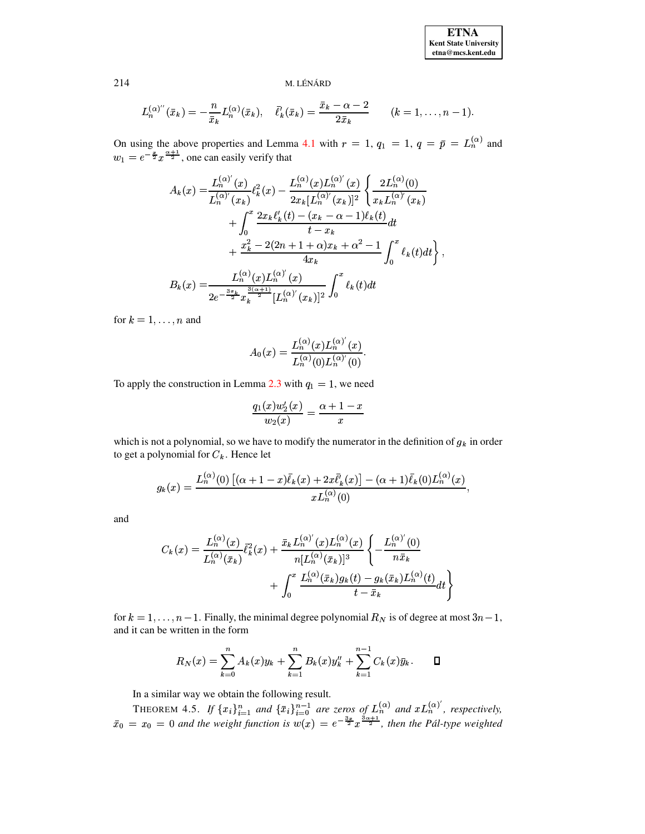$$
L_n^{(\alpha)''}(\bar{x}_k) = -\frac{n}{\bar{x}_k}L_n^{(\alpha)}(\bar{x}_k), \quad \bar{\ell}'_k(\bar{x}_k) = \frac{\bar{x}_k - \alpha - 2}{2\bar{x}_k} \qquad (k = 1, \ldots, n-1).
$$

On using the above properties and Lemma 4.1 with  $r = 1$ ,  $q_1 = 1$ ,  $q = \bar{p} = L_n^{(\alpha)}$  and  $w_1 = e^{-\frac{x}{2}} x^{\frac{\alpha+1}{2}}$ , one can easily verify that

$$
A_k(x) = \frac{L_n^{(\alpha)'}(x)}{L_n^{(\alpha)'}(x_k)} \ell_k^2(x) - \frac{L_n^{(\alpha)}(x)L_n^{(\alpha)'}(x)}{2x_k[L_n^{(\alpha)'}(x_k)]^2} \left\{ \frac{2L_n^{(\alpha)}(0)}{x_kL_n^{(\alpha)'}(x_k)} + \int_0^x \frac{2x_k\ell_k'(t) - (x_k - \alpha - 1)\ell_k(t)}{t - x_k} dt + \frac{x_k^2 - 2(2n + 1 + \alpha)x_k + \alpha^2 - 1}{4x_k} \int_0^x \ell_k(t)dt \right\},
$$
  

$$
B_k(x) = \frac{L_n^{(\alpha)}(x)L_n^{(\alpha)'}(x)}{2e^{-\frac{3x_k}{2}}x_k^{\frac{3(\alpha + 1)}{2}}[L_n^{(\alpha)'}(x_k)]^2} \int_0^x \ell_k(t)dt
$$

for  $k = 1, \ldots, n$  and

$$
A_0(x) = \frac{L_n^{(\alpha)}(x)L_n^{(\alpha)'}(x)}{L_n^{(\alpha)}(0)L_n^{(\alpha)'}(0)}.
$$

To apply the construction in Lemma 2.3 with  $q_1 = 1$ , we need

$$
\frac{q_1(x)w_2'(x)}{w_2(x)} = \frac{\alpha + 1 - x}{x}
$$

which is not a polynomial, so we have to modify the numerator in the definition of  $g_k$  in order to get a polynomial for  $C_k$ . Hence let

$$
g_k(x) = \frac{L_n^{(\alpha)}(0) \left[ (\alpha + 1 - x) \bar{\ell}_k(x) + 2x \bar{\ell}'_k(x) \right] - (\alpha + 1) \bar{\ell}_k(0) L_n^{(\alpha)}(x)}{x L_n^{(\alpha)}(0)},
$$

and

$$
C_k(x) = \frac{L_n^{(\alpha)}(x)}{L_n^{(\alpha)}(\bar{x}_k)} \overline{\ell}_k^2(x) + \frac{\bar{x}_k L_n^{(\alpha)'}(x) L_n^{(\alpha)}(x)}{n[L_n^{(\alpha)}(\bar{x}_k)]^3} \left\{ -\frac{L_n^{(\alpha)'}(0)}{n\bar{x}_k} + \int_0^x \frac{L_n^{(\alpha)}(\bar{x}_k)g_k(t) - g_k(\bar{x}_k)L_n^{(\alpha)}(t)}{t - \bar{x}_k} dt \right\}
$$

for  $k = 1, ..., n - 1$ . Finally, the minimal degree polynomial  $R_N$  is of degree at most  $3n - 1$ , and it can be written in the form

$$
R_N(x) = \sum_{k=0}^n A_k(x) y_k + \sum_{k=1}^n B_k(x) y_k'' + \sum_{k=1}^{n-1} C_k(x) \bar{y}_k.
$$

In a similar way we obtain the following result.

THEOREM 4.5. If  $\{x_i\}_{i=1}^n$  and  $\{\bar{x}_i\}_{i=0}^{n-1}$  are zeros of  $L_n^{(\alpha)}$  and  $xL_n^{(\alpha)'}$ , respectively,<br> $\bar{x}_0 = x_0 = 0$  and the weight function is  $w(x) = e^{-\frac{3x}{2}} x^{\frac{3\alpha+1}{2}}$ , then the Pál-type weighted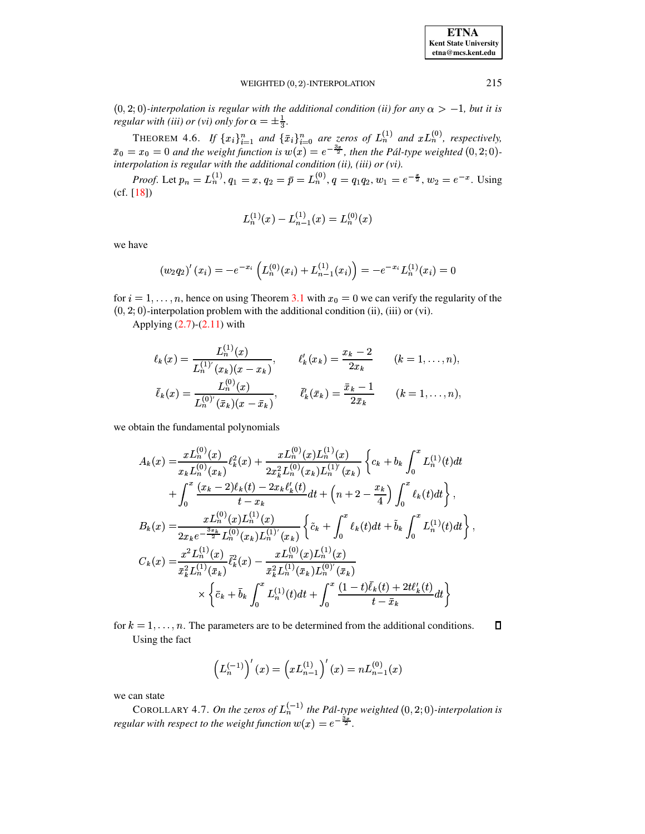**ETNA Kent State University**  $etna@mcs. kent.edu$ 

#### WEIGHTED (0, 2)-INTERPOLATION

 $(0,2,0)$ -interpolation is regular with the additional condition (ii) for any  $\alpha > -1$ , but it is regular with (iii) or (vi) only for  $\alpha = \pm \frac{1}{3}$ .

THEOREM 4.6. If  $\{x_i\}_{i=1}^n$  and  $\{\bar{x}_i\}_{i=0}^n$  are zeros of  $L_n^{(1)}$  and  $xL_n^{(0)}$ , respectively,  $\bar{x}_0 = x_0 = 0$  and the weight function is  $w(x) = e^{-\frac{3x}{2}}$ , then the Pál-type weighted  $(0, 2; 0)$ interpolation is regular with the additional condition (ii), (iii) or (vi).

*Proof.* Let  $p_n = L_n^{(1)}$ ,  $q_1 = x$ ,  $q_2 = \bar{p} = L_n^{(0)}$ ,  $q = q_1 q_2$ ,  $w_1 = e^{-\frac{x}{2}}$ ,  $w_2 = e^{-x}$ . Using  $(cf. [18])$ 

$$
L_n^{(1)}(x) - L_{n-1}^{(1)}(x) = L_n^{(0)}(x)
$$

we have

$$
(w_2 q_2)'(x_i) = -e^{-x_i} \left( L_n^{(0)}(x_i) + L_{n-1}^{(1)}(x_i) \right) = -e^{-x_i} L_n^{(1)}(x_i) = 0
$$

for  $i = 1, ..., n$ , hence on using Theorem 3.1 with  $x_0 = 0$  we can verify the regularity of the  $(0, 2, 0)$ -interpolation problem with the additional condition (ii), (iii) or (vi).

Applying  $(2.7)-(2.11)$  with

$$
\ell_k(x) = \frac{L_n^{(1)}(x)}{L_n^{(1)'}(x_k)(x - x_k)}, \qquad \ell'_k(x_k) = \frac{x_k - 2}{2x_k} \qquad (k = 1, ..., n),
$$
  

$$
\bar{\ell}_k(x) = \frac{L_n^{(0)}(x)}{L_n^{(0)'}(\bar{x}_k)(x - \bar{x}_k)}, \qquad \bar{\ell}'_k(\bar{x}_k) = \frac{\bar{x}_k - 1}{2\bar{x}_k} \qquad (k = 1, ..., n),
$$

we obtain the fundamental polynomials

$$
A_k(x) = \frac{xL_n^{(0)}(x)}{x_kL_n^{(0)}(x_k)} \ell_k^2(x) + \frac{xL_n^{(0)}(x)L_n^{(1)}(x)}{2x_k^2L_n^{(0)}(x_k)L_n^{(1)'}(x_k)} \left\{ c_k + b_k \int_0^x L_n^{(1)}(t)dt \right.\n+ \int_0^x \frac{(x_k - 2)\ell_k(t) - 2x_k\ell'_k(t)}{t - x_k} dt + \left( n + 2 - \frac{x_k}{4} \right) \int_0^x \ell_k(t)dt \right\},
$$
\n
$$
B_k(x) = \frac{xL_n^{(0)}(x)L_n^{(1)}(x)}{2x_k e^{-\frac{3x_k}{2}}L_n^{(0)}(x_k)L_n^{(1)'}(x_k)} \left\{ \tilde{c}_k + \int_0^x \ell_k(t)dt + \tilde{b}_k \int_0^x L_n^{(1)}(t)dt \right\}
$$
\n
$$
C_k(x) = \frac{x^2 L_n^{(1)}(x)}{\bar{x}_k^2 L_n^{(1)}(\bar{x}_k)} \bar{\ell}_k^2(x) - \frac{xL_n^{(0)}(x)L_n^{(1)}(x)}{\bar{x}_k^2 L_n^{(1)}(\bar{x}_k)L_n^{(0)'}(\bar{x}_k)} \times \left\{ \bar{c}_k + \bar{b}_k \int_0^x L_n^{(1)}(t)dt + \int_0^x \frac{(1 - t)\bar{\ell}_k(t) + 2t\ell'_k(t)}{t - \bar{x}_k} dt \right\}
$$

for  $k = 1, ..., n$ . The parameters are to be determined from the additional conditions.  $\Box$ Using the fact

$$
\left(L_n^{(-1)}\right)'(x) = \left(xL_{n-1}^{(1)}\right)'(x) = nL_{n-1}^{(0)}(x)
$$

we can state

COROLLARY 4.7. On the zeros of  $L_n^{(-1)}$  the Pál-type weighted  $(0, 2, 0)$ -interpolation is regular with respect to the weight function  $w(x) = e^{-\frac{3x}{2}}$ .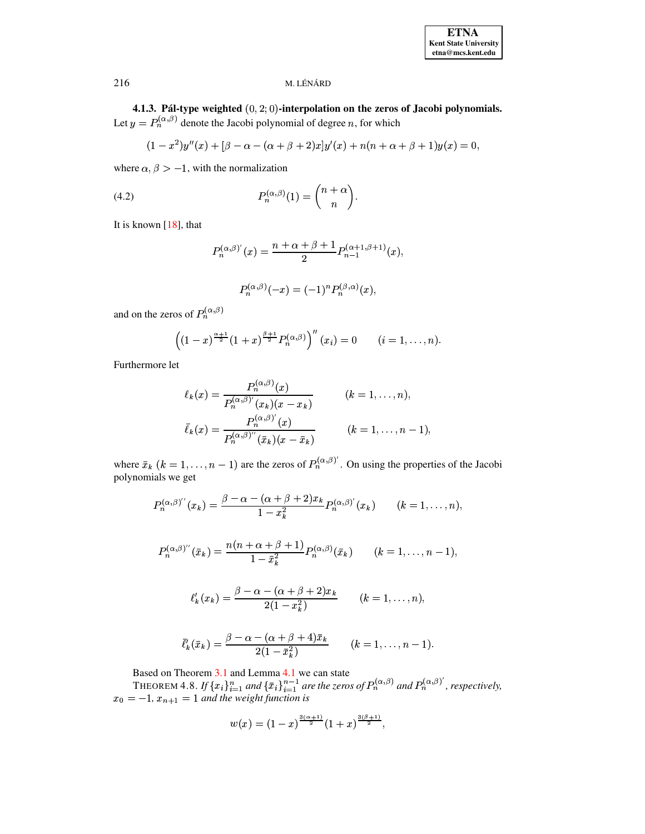4.1.3. Pál-type weighted  $(0, 2, 0)$ -interpolation on the zeros of Jacobi polynomials. Let  $y = P_n^{(\alpha,\beta)}$  denote the Jacobi polynomial of degree n, for which

$$
(1-x^2)y''(x) + [\beta - \alpha - (\alpha + \beta + 2)x]y'(x) + n(n+\alpha + \beta + 1)y(x) = 0,
$$

where  $\alpha, \beta > -1$ , with the normalization

(4.2) 
$$
P_n^{(\alpha,\beta)}(1) = \binom{n+\alpha}{n}.
$$

It is known  $[18]$ , that

<span id="page-10-0"></span>
$$
P_n^{(\alpha,\beta)'}(x) = \frac{n+\alpha+\beta+1}{2} P_{n-1}^{(\alpha+1,\beta+1)}(x),
$$
  

$$
P_n^{(\alpha,\beta)}(-x) = (-1)^n P_n^{(\beta,\alpha)}(x),
$$

and on the zeros of  $P_n^{(\alpha,\beta)}$ 

$$
\left((1-x)^{\frac{\alpha+1}{2}}(1+x)^{\frac{\beta+1}{2}}P_n^{(\alpha,\beta)}\right)^{n}(x_i)=0 \qquad (i=1,\ldots,n).
$$

Furthermore let

$$
\ell_k(x) = \frac{P_n^{(\alpha,\beta)}(x)}{P_n^{(\alpha,\beta)'}(x_k)(x - x_k)}
$$
\n
$$
\bar{\ell}_k(x) = \frac{P_n^{(\alpha,\beta)'}(x)}{P_n^{(\alpha,\beta)''}(\bar{x}_k)(x - \bar{x}_k)}
$$
\n
$$
(k = 1, \dots, n - 1)
$$

where  $\bar{x}_k$   $(k = 1, ..., n - 1)$  are the zeros of  $P_n^{(\alpha,\beta)'}$ . On using the properties of the Jacobi polynomials we get

$$
P_n^{(\alpha,\beta)''}(x_k)=\frac{\beta-\alpha-(\alpha+\beta+2)x_k}{1-x_k^2}P_n^{(\alpha,\beta)'}(x_k)\qquad (k=1,\ldots,n),
$$

$$
P_n^{(\alpha,\beta)''}(\bar{x}_k)=\frac{n(n+\alpha+\beta+1)}{1-\bar{x}_k^2}P_n^{(\alpha,\beta)}(\bar{x}_k)\qquad (k=1,\ldots,n-1),
$$

$$
\ell'_k(x_k) = \frac{\beta - \alpha - (\alpha + \beta + 2)x_k}{2(1 - x_k^2)} \qquad (k = 1, \dots, n),
$$

$$
\bar{\ell}'_k(\bar{x}_k) = \frac{\beta - \alpha - (\alpha + \beta + 4)\bar{x}_k}{2(1 - \bar{x}_k^2)} \qquad (k = 1, \ldots, n-1).
$$

Based on Theorem 3.1 and Lemma 4.1 we can state<br>THEOREM 4.8. If  $\{x_i\}_{i=1}^n$  and  $\{\bar{x}_i\}_{i=1}^{n-1}$  are the zeros of  $P_n^{(\alpha,\beta)}$  and  $P_n^{(\alpha,\beta)}$ , respectively,<br> $x_0 = -1$ ,  $x_{n+1} = 1$  and the weight function is

$$
w(x)=(1-x)^{\frac{3(\alpha+1)}{2}}(1+x)^{\frac{3(\beta+1)}{2}},
$$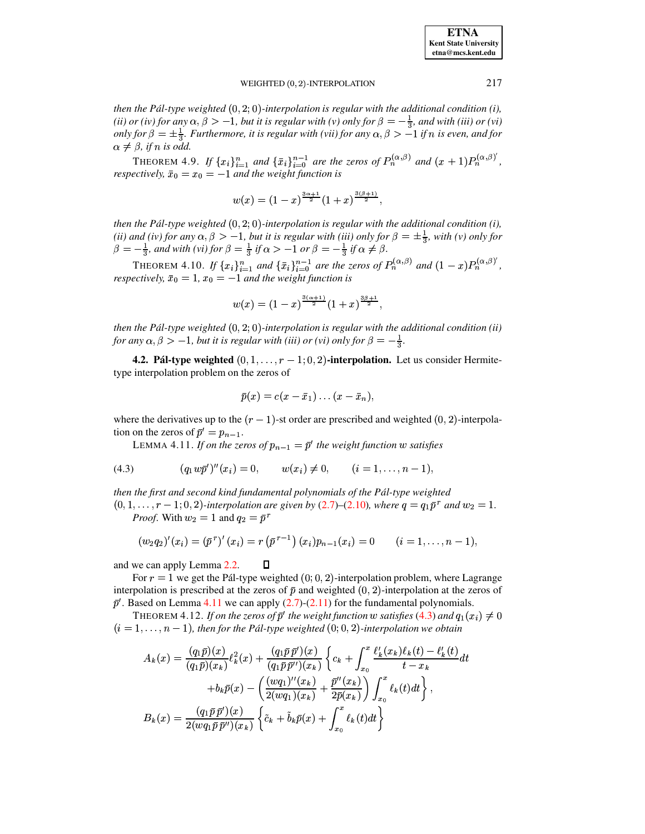**ETNA Kent State University etna@mcs.kent.edu**

### WEIGHTED  $(0, 2)$ -INTERPOLATION  $217$

*then the Pál-type weighted*  $(0, 2, 0)$ -interpolation is regular with the additional condition  $(i)$ , (ii) or (iv) for any  $\alpha, \beta > -1$ , but it is regular with (v) only for  $\beta = -\frac{1}{3}$ , and with (iii) or (vi) *only* for  $\beta = \pm \frac{1}{3}$ . Furthermore, it is regular with (vii) for any  $\alpha, \beta > -1$  if n is even, and for  $\alpha \neq \beta$ , if  $n$  is odd.

THEOREM 4.9. If  $\{x_i\}_{i=1}^n$  and  $\{\bar{x}_i\}_{i=0}^{n-1}$  are the zeros of  $P_n^{(\alpha,\beta)}$  and  $(x+1)P_n^{(\alpha,\beta)}$ , *respectively,*  $\bar{x}_0 = x_0 = -1$  *and the weight function is* 

$$
w(x)=(1-x)^{\frac{3\alpha+1}{2}}(1+x)^{\frac{3(\beta+1)}{2}},
$$

*then* the Pál-type weighted  $(0, 2, 0)$ -interpolation is regular with the additional condition  $(i)$ , (ii) and (iv) for any  $\alpha, \beta > -1$ , but it is regular with (iii) only for  $\beta = \pm \frac{1}{3}$ , with (v) only for  $\beta = -\frac{1}{3}$ , and with (vi) for  $\beta = \frac{1}{3}$  if  $\alpha > -1$  or  $\beta = -\frac{1}{3}$  if  $\alpha \neq \beta$ .

THEOREM 4.10. If  $\{x_i\}_{i=1}^n$  and  $\{\bar{x}_i\}_{i=0}^{n-1}$  are the zeros of  $P_n^{(\alpha,\beta)}$  and  $(1-x)P_n^{(\alpha,\beta)}$ , *respectively,*  $\bar{x}_0 = 1$ ,  $x_0 = -1$  *and the weight function is* 

$$
w(x)=(1-x)^{\frac{3(\alpha+1)}{2}}(1+x)^{\frac{3\beta+1}{2}},
$$

*then* the Pál-type weighted  $(0, 2, 0)$ -interpolation is regular with the additional condition (ii) *for any*  $\alpha, \beta > -1$ , *but it is regular with (iii) or (vi) only for*  $\beta = -\frac{1}{3}$ .

**4.2. Pál-type weighted**  $(0, 1, \ldots, r-1; 0, 2)$ -interpolation. Let us consider Hermitetype interpolation problem on the zeros of

$$
\bar{p}(x)=c(x-\bar{x}_1)\ldots(x-\bar{x}_n),
$$

<span id="page-11-0"></span>where the derivatives up to the  $(r - 1)$ -st order are prescribed and weighted  $(0, 2)$ -interpolation on the zeros of  $\bar{p}' = p_{n-1}$ .

LEMMA 4.11. *If on the zeros of*  $p_{n-1} = \bar{p}'$  the weight function w satisfies

<span id="page-11-1"></span>(4.3) 
$$
(q_1 w \bar{p}')''(x_i) = 0, \qquad w(x_i) \neq 0, \qquad (i = 1, ..., n-1),
$$

*then the first and second kind fundamental polynomials of the Pal-type ´ weighted*  $(0, 1, \ldots, r-1; 0, 2)$ -interpolation are given by  $(2.7)$ – $(2.10)$ *, where*  $q = q_1 \bar{p}^r$  and  $w_2 = 1$ . *Proof.* With  $w_2 = 1$  and  $q_2 = \bar{p}^r$ 

$$
(w_2q_2)'(x_i)=(\bar{p}^r)'(x_i)=r(\bar{p}^{r-1})(x_i)p_{n-1}(x_i)=0 \qquad (i=1,\ldots,n-1),
$$

and we can apply Lemma [2.2.](#page-2-3)  $\Box$ 

For  $r = 1$  we get the Pál-type weighted  $(0, 0, 2)$ -interpolation problem, where Lagrange interpolation is prescribed at the zeros of  $\bar{p}$  and weighted  $(0, 2)$ -interpolation at the zeros of  $\bar{p}$ '. Based on Lemma [4.11](#page-11-0) we can apply [\(2.7\)](#page-2-1)-[\(2.11\)](#page-2-0) for the fundamental polynomials.

<span id="page-11-2"></span>THEOREM 4.12. If on the zeros of  $\bar{p}^{\prime}$  the weight function  $w$  satisfies [\(4.3\)](#page-11-1) and  $q_1(x_i) \neq 0$  $(i = 1, \ldots, n - 1)$ , then for the Pál-type weighted  $(0, 0, 2)$ -interpolation we obtain

$$
A_k(x) = \frac{(q_1\bar{p})(x)}{(q_1\bar{p})(x_k)} \ell_k^2(x) + \frac{(q_1\bar{p}\bar{p}')(x)}{(q_1\bar{p}\bar{p}'')(x_k)} \left\{ c_k + \int_{x_0}^x \frac{\ell'_k(x_k)\ell_k(t) - \ell'_k(t)}{t - x_k} dt \right. \n\left. + b_k\bar{p}(x) - \left( \frac{(wq_1)''(x_k)}{2(wq_1)(x_k)} + \frac{\bar{p}''(x_k)}{2\bar{p}(x_k)} \right) \int_{x_0}^x \ell_k(t) dt \right\},
$$
\n
$$
B_k(x) = \frac{(q_1\bar{p}\bar{p}')(x)}{2(wq_1\bar{p}\bar{p}'')(x_k)} \left\{ \tilde{c}_k + \tilde{b}_k\bar{p}(x) + \int_{x_0}^x \ell_k(t) dt \right\}
$$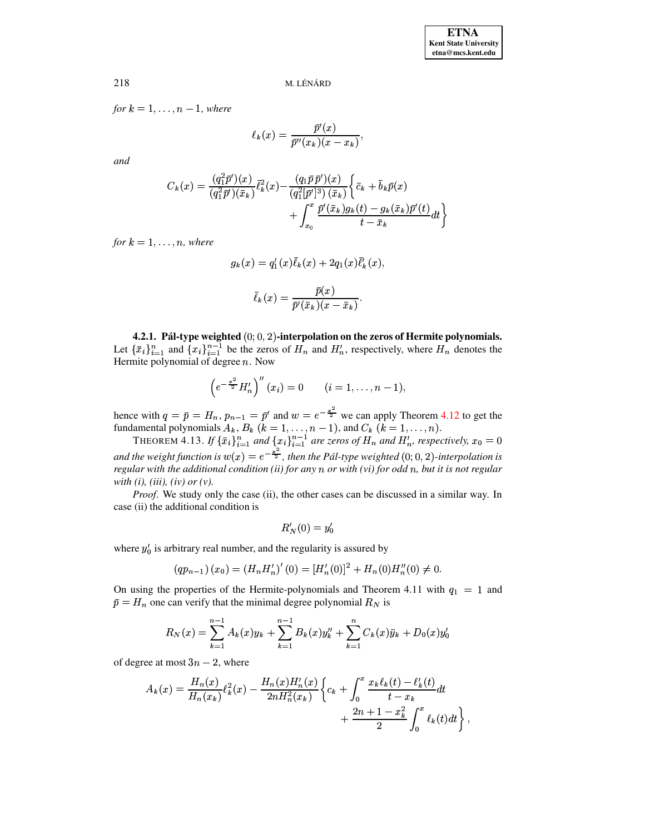for  $k = 1, \ldots, n - 1$ , where

$$
\ell_k(x) = \frac{\bar{p}'(x)}{\bar{p}''(x_k)(x - x_k)}
$$

and

$$
C_k(x) = \frac{(q_1^2 \bar{p}')(x)}{(q_1^2 \bar{p}')(\bar{x}_k)} \bar{\ell}_k^2(x) - \frac{(q_1 \bar{p} \bar{p}')(x)}{(q_1^2 [\bar{p}']^3) (\bar{x}_k)} \left\{ \bar{c}_k + \bar{b}_k \bar{p}(x) + \int_{x_0}^x \frac{\bar{p}'(\bar{x}_k) g_k(t) - g_k(\bar{x}_k) \bar{p}'(t)}{t - \bar{x}_k} dt \right\}
$$

for  $k = 1, \ldots, n$ , where

$$
g_k(x) = q'_1(x)\overline{\ell}_k(x) + 2q_1(x)\overline{\ell}'_k(x),
$$

$$
\overline{\ell}_k(x) = \frac{\overline{p}(x)}{\overline{p}'(\overline{x}_k)(x - \overline{x}_k)}.
$$

4.2.1. Pál-type weighted  $(0, 0, 2)$ -interpolation on the zeros of Hermite polynomials. Let  $\{\bar{x}_i\}_{i=1}^n$  and  $\{x_i\}_{i=1}^{n-1}$  be the zeros of  $H_n$  and  $H'_n$ , respectively, where  $H_n$  denotes the Hermite polynomial of degree  $n$ . Now

$$
\left(e^{-\frac{x^2}{2}}H'_n\right)''(x_i) = 0 \qquad (i = 1, \ldots, n-1),
$$

hence with  $q = \bar{p} = H_n$ ,  $p_{n-1} = \bar{p}'$  and  $w = e^{-\frac{x^2}{2}}$  we can apply Theorem 4.12 to get the fundamental polynomials  $A_k$ ,  $B_k$  ( $k = 1, ..., n - 1$ ), and  $C_k$  ( $k = 1, ..., n$ ).<br>THEOREM 4.13. If  $\{\bar{x}_i\}_{i=1}^n$  and  $\{x_i\}_{i=1}^{n-$ 

and the weight function is  $w(x) = e^{-\frac{x^2}{2}}$ , then the Pál-type weighted  $(0, 0, 2)$ -interpolation is regular with the additional condition (ii) for any  $n$  or with (vi) for odd  $n$ , but it is not regular with  $(i)$ ,  $(iii)$ ,  $(iv)$  or  $(v)$ .

*Proof.* We study only the case (ii), the other cases can be discussed in a similar way. In case (ii) the additional condition is

$$
R_N'(0) = y_0'
$$

where  $y'_0$  is arbitrary real number, and the regularity is assured by

$$
(qp_{n-1})(x_0) = (H_n H'_n)'(0) = [H'_n(0)]^2 + H_n(0)H''_n(0) \neq 0
$$

On using the properties of the Hermite-polynomials and Theorem 4.11 with  $q_1 = 1$  and  $\bar{p} = H_n$  one can verify that the minimal degree polynomial  $R_N$  is

$$
R_N(x) = \sum_{k=1}^{n-1} A_k(x)y_k + \sum_{k=1}^{n-1} B_k(x)y_k'' + \sum_{k=1}^{n} C_k(x)\bar{y}_k + D_0(x)y_0'
$$

of degree at most  $3n - 2$ , where

$$
A_k(x) = \frac{H_n(x)}{H_n(x_k)} \ell_k^2(x) - \frac{H_n(x)H_n'(x)}{2nH_n^2(x_k)} \left\{ c_k + \int_0^x \frac{x_k \ell_k(t) - \ell'_k(t)}{t - x_k} dt + \frac{2n + 1 - x_k^2}{2} \int_0^x \ell_k(t) dt \right\}
$$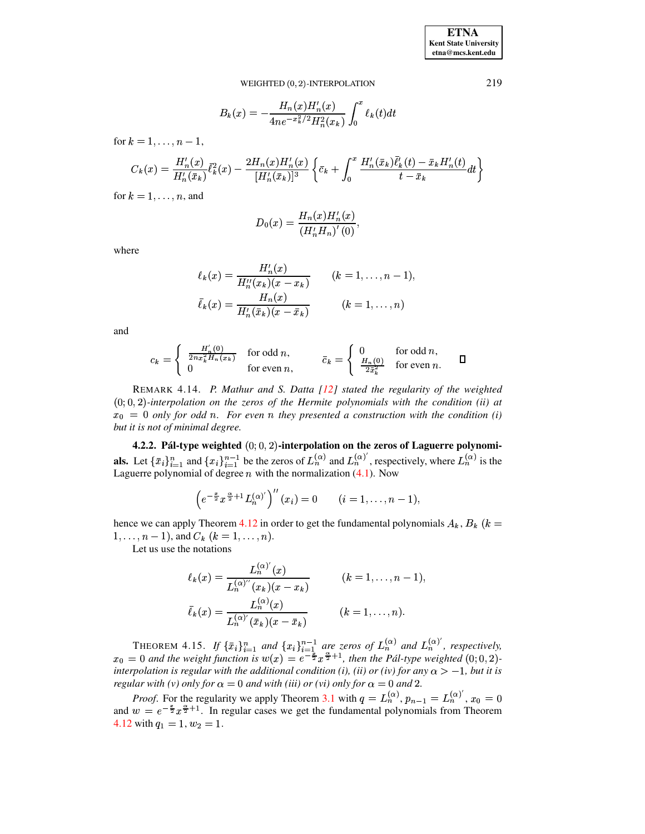**ETNA Kent State University**  $etna@mcs. kent.edu$ 

WEIGHTED (0, 2)-INTERPOLATION

$$
B_k(x) = -\frac{H_n(x)H'_n(x)}{4ne^{-x_k^2/2}H_n^2(x_k)} \int_0^x \ell_k(t)dt
$$

for  $k = 1, ..., n - 1$ ,

$$
C_k(x) = \frac{H'_n(x)}{H'_n(\bar{x}_k)} \bar{\ell}_k^2(x) - \frac{2H_n(x)H'_n(x)}{[H'_n(\bar{x}_k)]^3} \left\{ \bar{c}_k + \int_0^x \frac{H'_n(\bar{x}_k)\bar{\ell}_k'(t) - \bar{x}_k H'_n(t)}{t - \bar{x}_k} dt \right\}
$$

for  $k = 1, \ldots, n$ , and

$$
D_0(x) = \frac{H_n(x)H'_n(x)}{(H'_n H_n)'(0)},
$$

where

$$
\ell_k(x) = \frac{H'_n(x)}{H''_n(x_k)(x - x_k)} \qquad (k = 1, \dots, n-1),
$$
  

$$
\bar{\ell}_k(x) = \frac{H_n(x)}{H'_n(\bar{x}_k)(x - \bar{x}_k)} \qquad (k = 1, \dots, n)
$$

and

$$
c_k = \begin{cases} \frac{H'_n(0)}{2nx_k^2 H_n(x_k)} & \text{for odd } n, \\ 0 & \text{for even } n, \end{cases} \qquad \bar{c}_k = \begin{cases} 0 & \text{for odd } n, \\ \frac{H_n(0)}{2\bar{x}_k^2} & \text{for even } n. \end{cases} \qquad \Box
$$

REMARK 4.14. P. Mathur and S. Datta [12] stated the regularity of the weighted  $(0,0,2)$ -interpolation on the zeros of the Hermite polynomials with the condition (ii) at  $x_0 = 0$  only for odd n. For even n they presented a construction with the condition (i) but it is not of minimal degree.

4.2.2. Pál-type weighted  $(0,0,2)$ -interpolation on the zeros of Laguerre polynomi**als.** Let  $\{\bar{x}_i\}_{i=1}^n$  and  $\{x_i\}_{i=1}^{n-1}$  be the zeros of  $L_n^{(\alpha)}$  and  $L_n^{(\alpha)}'$ , respectively, where  $L_n^{(\alpha)}$  is the Laguerre polynomial of degree  $n$  with the normalization (4.1). Now

$$
\left(e^{-\frac{x}{2}}x^{\frac{\alpha}{2}+1}L_n^{(\alpha)'}\right)^{''}(x_i)=0 \qquad (i=1,\ldots,n-1),
$$

hence we can apply Theorem 4.12 in order to get the fundamental polynomials  $A_k$ ,  $B_k$  ( $k =$  $1, \ldots, n-1$ , and  $C_k$   $(k = 1, \ldots, n)$ .

Let us use the notations

$$
\ell_k(x) = \frac{L_n^{(\alpha)'}(x)}{L_n^{(\alpha)''}(x_k)(x - x_k)} \qquad (k = 1, ..., n - 1)
$$
  

$$
\bar{\ell}_k(x) = \frac{L_n^{(\alpha)'}(x)}{L_n^{(\alpha)'}(\bar{x}_k)(x - \bar{x}_k)} \qquad (k = 1, ..., n).
$$

THEOREM 4.15. If  $\{\bar{x}_i\}_{i=1}^n$  and  $\{x_i\}_{i=1}^{n-1}$  are zeros of  $L_n^{(\alpha)}$  and  $L_n^{(\alpha)'}$ , respectively,  $x_0 = 0$  and the weight function is  $w(x) = e^{-\frac{x}{2}}x^{\frac{\alpha}{2}+1}$ , then the Pál-type weighted  $(0, 0, 2)$ interpolation is regular with the additional condition (i), (ii) or (iv) for any  $\alpha > -1$ , but it is regular with (v) only for  $\alpha = 0$  and with (iii) or (vi) only for  $\alpha = 0$  and 2.

*Proof.* For the regularity we apply Theorem 3.1 with  $q = L_n^{(\alpha)}$ ,  $p_{n-1} = L_n^{(\alpha)'}$ ,  $x_0 = 0$ and  $w = e^{-\frac{x}{2}}x^{\frac{\alpha}{2}+1}$ . In regular cases we get the fundamental polynomials from Theorem 4.12 with  $q_1 = 1, w_2 = 1$ .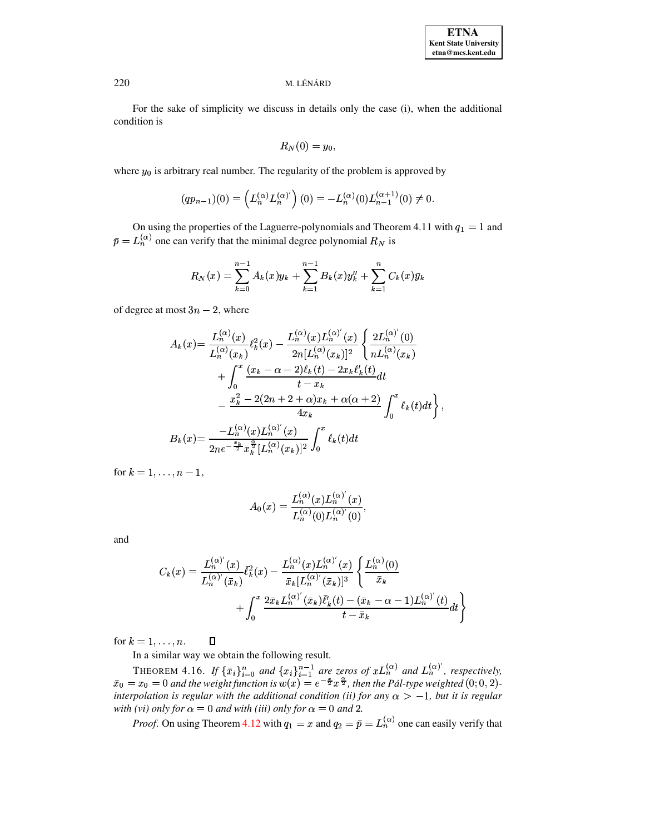For the sake of simplicity we discuss in details only the case (i), when the additional condition is

$$
R_N(0)=y_0,
$$

where  $y_0$  is arbitrary real number. The regularity of the problem is approved by

$$
(qp_{n-1})(0) = \left(L_n^{(\alpha)} L_n^{(\alpha)'}\right)(0) = -L_n^{(\alpha)}(0)L_{n-1}^{(\alpha+1)}(0) \neq 0.
$$

On using the properties of the Laguerre-polynomials and Theorem 4.11 with  $q_1 = 1$  and  $\bar{p} = L_n^{(\alpha)}$  one can verify that the minimal degree polynomial  $R_N$  is

$$
R_N(x) = \sum_{k=0}^{n-1} A_k(x)y_k + \sum_{k=1}^{n-1} B_k(x)y_k'' + \sum_{k=1}^{n} C_k(x)\bar{y}_k
$$

of degree at most  $3n - 2$ , where

$$
A_k(x) = \frac{L_n^{(\alpha)}(x)}{L_n^{(\alpha)}(x_k)} \ell_k^2(x) - \frac{L_n^{(\alpha)}(x)L_n^{(\alpha)'}(x)}{2n[L_n^{(\alpha)}(x_k)]^2} \left\{ \frac{2L_n^{(\alpha)}(0)}{nL_n^{(\alpha)}(x_k)} + \int_0^x \frac{(x_k - \alpha - 2)\ell_k(t) - 2x_k\ell'_k(t)}{t - x_k} dt - \frac{x_k^2 - 2(2n + 2 + \alpha)x_k + \alpha(\alpha + 2)}{4x_k} \int_0^x \ell_k(t)dt \right\}
$$

$$
B_k(x) = \frac{-L_n^{(\alpha)}(x)L_n^{(\alpha)'}(x)}{2ne^{-\frac{x_k}{2}}x_k^{\frac{\alpha}{2}}[L_n^{(\alpha)}(x_k)]^2} \int_0^x \ell_k(t)dt
$$

for  $k = 1, ..., n - 1$ ,

$$
A_0(x) = \frac{L_n^{(\alpha)}(x)L_n^{(\alpha)'}(x)}{L_n^{(\alpha)}(0)L_n^{(\alpha)'}(0)},
$$

and

$$
C_k(x) = \frac{L_n^{(\alpha)'}(x)}{L_n^{(\alpha)'}(\bar{x}_k)} \bar{\ell}_k^2(x) - \frac{L_n^{(\alpha)}(x)L_n^{(\alpha)'}(x)}{\bar{x}_k[L_n^{(\alpha)'}(\bar{x}_k)]^3} \left\{ \frac{L_n^{(\alpha)}(0)}{\bar{x}_k} + \int_0^x \frac{2\bar{x}_k L_n^{(\alpha)'}(\bar{x}_k)\bar{\ell}_k'(t) - (\bar{x}_k - \alpha - 1)L_n^{(\alpha)'}(t)}{t - \bar{x}_k} dt \right\}
$$

for  $k = 1, \ldots, n$ .  $\Box$ 

In a similar way we obtain the following result.

THEOREM 4.16. If  $\{\bar{x}_i\}_{i=0}^n$  and  $\{x_i\}_{i=1}^{n-1}$  are zeros of  $xL_n^{(\alpha)}$  and  $L_n^{(\alpha)'}$ , respectively,  $\bar{x}_0 = x_0 = 0$  and the weight function is  $w(x) = e^{-\frac{x}{2}}x^{\frac{\alpha}{2}}$ , then the Pál-type weighted  $(0,0,2)$ interpolation is regular with the additional condition (ii) for any  $\alpha > -1$ , but it is regular with (vi) only for  $\alpha = 0$  and with (iii) only for  $\alpha = 0$  and 2.

*Proof.* On using Theorem 4.12 with  $q_1 = x$  and  $q_2 = \bar{p} = L_n^{(\alpha)}$  one can easily verify that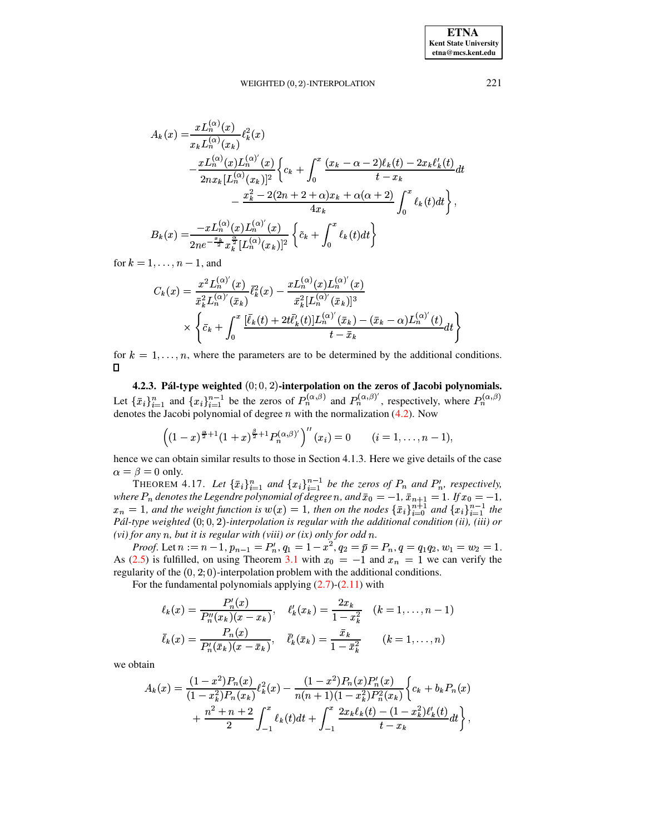#### WEIGHTED (0, 2)-INTERPOLATION

$$
A_k(x) = \frac{x L_n^{(\alpha)}(x)}{x_k L_n^{(\alpha)}(x_k)} \ell_k^2(x)
$$
  
\n
$$
- \frac{x L_n^{(\alpha)}(x) L_n^{(\alpha)'}(x)}{2nx_k [L_n^{(\alpha)}(x_k)]^2} \left\{ c_k + \int_0^x \frac{(x_k - \alpha - 2)\ell_k(t) - 2x_k \ell'_k(t)}{t - x_k} dt - \frac{x_k^2 - 2(2n + 2 + \alpha)x_k + \alpha(\alpha + 2)}{4x_k} \int_0^x \ell_k(t) dt \right\},
$$
  
\n
$$
B_k(x) = \frac{-x L_n^{(\alpha)}(x) L_n^{(\alpha)'}(x)}{2ne^{-\frac{x_k}{2}} x_k^{\frac{\alpha}{2}} [L_n^{(\alpha)}(x_k)]^2} \left\{ \tilde{c}_k + \int_0^x \ell_k(t) dt \right\}
$$

for  $k = 1, \ldots, n-1$ , and

$$
C_k(x) = \frac{x^2 L_n^{(\alpha)'}(x)}{\bar{x}_k^2 L_n^{(\alpha)'}(\bar{x}_k)} \bar{\ell}_k^2(x) - \frac{x L_n^{(\alpha)}(x) L_n^{(\alpha)'}(x)}{\bar{x}_k^2 [L_n^{(\alpha)'}(\bar{x}_k)]^3}
$$

$$
\times \left\{ \bar{c}_k + \int_0^x \frac{[\bar{\ell}_k(t) + 2t \bar{\ell}'_k(t)] L_n^{(\alpha)'}(\bar{x}_k) - (\bar{x}_k - \alpha) L_n^{(\alpha)'}(t)}{t - \bar{x}_k} dt \right\}
$$

for  $k = 1, \ldots, n$ , where the parameters are to be determined by the additional conditions.  $\Box$ 

4.2.3. Pál-type weighted  $(0,0,2)$ -interpolation on the zeros of Jacobi polynomials. Let  $\{\bar{x}_i\}_{i=1}^n$  and  $\{x_i\}_{i=1}^{n-1}$  be the zeros of  $P_n^{(\alpha,\beta)}$  and  $P_n^{(\alpha,\beta)}$ , respectively, where  $P_n^{(\alpha,\beta)}$ denotes the Jacobi polynomial of degree *n* with the normalization  $(4.2)$ . Now

$$
\left((1-x)^{\frac{\alpha}{2}+1}(1+x)^{\frac{\beta}{2}+1}P_n^{(\alpha,\beta)'}\right)^{n}(x_i)=0 \qquad (i=1,\ldots,n-1),
$$

hence we can obtain similar results to those in Section 4.1.3. Here we give details of the case  $\alpha = \beta = 0$  only.

THEOREM 4.17. Let  $\{\bar{x}_i\}_{i=1}^n$  and  $\{x_i\}_{i=1}^{n-1}$  be the zeros of  $P_n$  and  $P'_n$ , respectively, where  $P_n$  denotes the Legendre polynomial of degree n, and  $\bar{x}_0 = -1$ ,  $\bar{x}_{n+1} = 1$ . If  $x_0 = -1$ ,  $x_n = 1$ , and the weight function is  $w(x) = 1$ , then on the nodes  $\{\bar{x}_i\}_{i=0}^{n+1}$  and  $\{x_i\}_{i=1}^{n-1}$  the Pál-type weighted  $(0, 0, 2)$ -interpolation is regular with the additional condition (ii), (iii) or (vi) for any n, but it is regular with (viii) or  $(ix)$  only for odd n.

*Proof.* Let  $n := n - 1$ ,  $p_{n-1} = P'_n$ ,  $q_1 = 1 - x^2$ ,  $q_2 = \overline{p} = P_n$ ,  $q = q_1 q_2$ ,  $w_1 = w_2 = 1$ . As (2.5) is fulfilled, on using Theorem 3.1 with  $x_0 = -1$  and  $x_n = 1$  we can verify the regularity of the  $(0,2,0)$ -interpolation problem with the additional conditions.

For the fundamental polynomials applying  $(2.7)-(2.11)$  with

$$
\ell_k(x) = \frac{P'_n(x)}{P''_n(x_k)(x - x_k)}, \quad \ell'_k(x_k) = \frac{2x_k}{1 - x_k^2} \quad (k = 1, \dots, n - 1)
$$

$$
\bar{\ell}_k(x) = \frac{P_n(x)}{P'_n(\bar{x}_k)(x - \bar{x}_k)}, \quad \bar{\ell}'_k(\bar{x}_k) = \frac{\bar{x}_k}{1 - \bar{x}_k^2} \qquad (k = 1, \dots, n)
$$

we obtain

$$
A_k(x) = \frac{(1-x^2)P_n(x)}{(1-x_k^2)P_n(x_k)} \ell_k^2(x) - \frac{(1-x^2)P_n(x)P_n'(x)}{n(n+1)(1-x_k^2)P_n^2(x_k)} \left\{ c_k + b_k P_n(x) + \frac{n^2+n+2}{2} \int_{-1}^x \ell_k(t)dt + \int_{-1}^x \frac{2x_k \ell_k(t) - (1-x_k^2)\ell'_k(t)}{t-x_k} dt \right\},
$$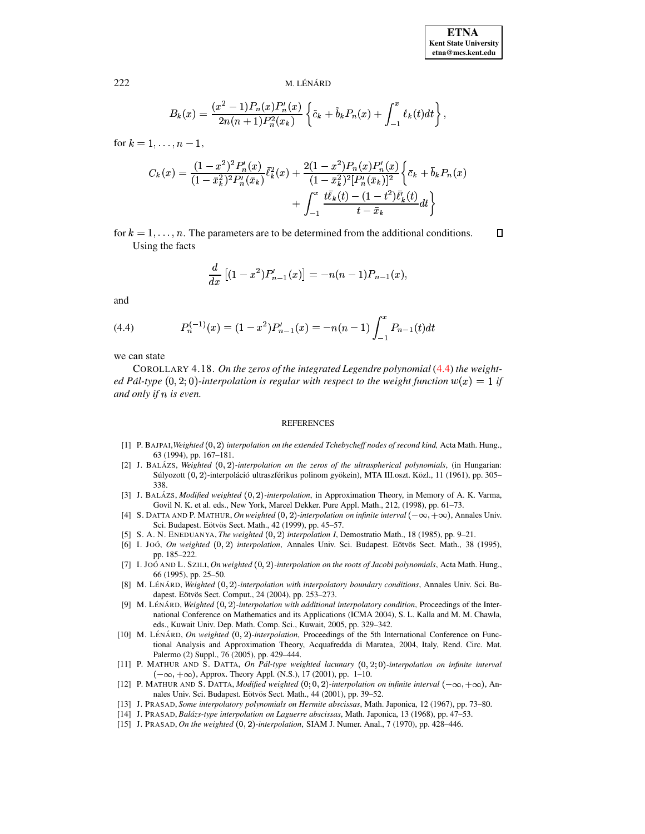$\Box$ 

#### M. LÉNÁRD

$$
B_k(x) = \frac{(x^2 - 1)P_n(x)P'_n(x)}{2n(n+1)P_n^2(x_k)} \left\{ \tilde{c}_k + \tilde{b}_k P_n(x) + \int_{-1}^x \ell_k(t)dt \right\},\,
$$

for  $k = 1, ..., n - 1$ ,

$$
C_k(x) = \frac{(1-x^2)^2 P'_n(x)}{(1-\bar{x}_k^2)^2 P'_n(\bar{x}_k)} \bar{\ell}_k^2(x) + \frac{2(1-x^2) P_n(x) P'_n(x)}{(1-\bar{x}_k^2)^2 [P'_n(\bar{x}_k)]^2} \left\{ \bar{c}_k + \bar{b}_k P_n(x) + \int_{-1}^x \frac{t \bar{\ell}_k(t) - (1-t^2) \bar{\ell}'_k(t)}{t - \bar{x}_k} dt \right\}
$$

for  $k = 1, \ldots, n$ . The parameters are to be determined from the additional conditions. Using the facts

$$
\frac{d}{dx}\left[ (1-x^2)P'_{n-1}(x) \right] = -n(n-1)P_{n-1}(x),
$$

and

<span id="page-16-15"></span>(4.4) 
$$
P_n^{(-1)}(x) = (1 - x^2)P_{n-1}'(x) = -n(n-1)\int_{-1}^x P_{n-1}(t)dt
$$

we can state

COROLLARY 4.18. On the zeros of the integrated Legendre polynomial (4.4) the weighted Pál-type  $(0, 2, 0)$ -interpolation is regular with respect to the weight function  $w(x) = 1$  if and only if  $n$  is even.

#### **REFERENCES**

- <span id="page-16-6"></span>[1] P. BAJPAI, Weighted (0, 2) interpolation on the extended Tchebycheff nodes of second kind, Acta Math. Hung., 63 (1994), pp. 167-181.
- <span id="page-16-0"></span>[2] J. BALÁZS, Weighted  $(0, 2)$ -interpolation on the zeros of the ultraspherical polynomials, (in Hungarian: Súlyozott (0, 2)-interpoláció ultraszférikus polinom gyökein), MTA III.oszt. Közl., 11 (1961), pp. 305– 338.
- <span id="page-16-9"></span>[3] J. BALÁZS, Modified weighted (0, 2)-interpolation, in Approximation Theory, in Memory of A. K. Varma, Govil N. K. et al. eds., New York, Marcel Dekker. Pure Appl. Math., 212, (1998), pp. 61-73.
- <span id="page-16-8"></span><span id="page-16-7"></span>[4] S. DATTA AND P. MATHUR, On weighted  $(0, 2)$ -interpolation on infinite interval  $(-\infty, +\infty)$ , Annales Univ. Sci. Budapest. Eötvös Sect. Math., 42 (1999), pp. 45-57.
- [5] S. A. N. ENEDUANYA, The weighted (0, 2) interpolation I, Demostratio Math., 18 (1985), pp. 9-21.
- <span id="page-16-1"></span>[6] I. Joó, On weighted (0, 2) interpolation, Annales Univ. Sci. Budapest. Eötvös Sect. Math., 38 (1995), pp. 185-222.
- <span id="page-16-2"></span>[7] I. JOÓ AND L. SZILI, On weighted (0, 2)-interpolation on the roots of Jacobi polynomials, Acta Math. Hung., 66 (1995), pp. 25-50.
- <span id="page-16-10"></span>[8] M. LÉNÁRD, Weighted (0, 2)-interpolation with interpolatory boundary conditions, Annales Univ. Sci. Budapest. Eötvös Sect. Comput., 24 (2004), pp. 253-273.
- <span id="page-16-11"></span>[9] M. LÉNÁRD, Weighted (0, 2)-interpolation with additional interpolatory condition, Proceedings of the International Conference on Mathematics and its Applications (ICMA 2004), S. L. Kalla and M. M. Chawla, eds., Kuwait Univ. Dep. Math. Comp. Sci., Kuwait, 2005, pp. 329-342.
- <span id="page-16-12"></span>[10] M. LÉNÁRD, On weighted  $(0, 2)$ -interpolation, Proceedings of the 5th International Conference on Functional Analysis and Approximation Theory, Acquafredda di Maratea, 2004, Italy, Rend. Circ. Mat. Palermo (2) Suppl., 76 (2005), pp. 429-444.
- <span id="page-16-13"></span>[11] P. MATHUR AND S. DATTA, On Pál-type weighted lacunary  $(0, 2, 0)$ -interpolation on infinite interval  $(-\infty, +\infty)$ , Approx. Theory Appl. (N.S.), 17 (2001), pp. 1–10.
- <span id="page-16-14"></span>[12] P. MATHUR AND S. DATTA, *Modified weighted* (0; 0, 2)-interpolation on infinite interval  $(-\infty, +\infty)$ , Annales Univ. Sci. Budapest. Eötvös Sect. Math., 44 (2001), pp. 39-52.
- <span id="page-16-4"></span><span id="page-16-3"></span>[13] J. PRASAD, Some interpolatory polynomials on Hermite abscissas, Math. Japonica, 12 (1967), pp. 73-80.
- <span id="page-16-5"></span>[14] J. PRASAD, Balázs-type interpolation on Laguerre abscissas, Math. Japonica, 13 (1968), pp. 47–53.
- [15] J. PRASAD, On the weighted  $(0, 2)$ -interpolation, SIAM J. Numer. Anal., 7 (1970), pp. 428-446.